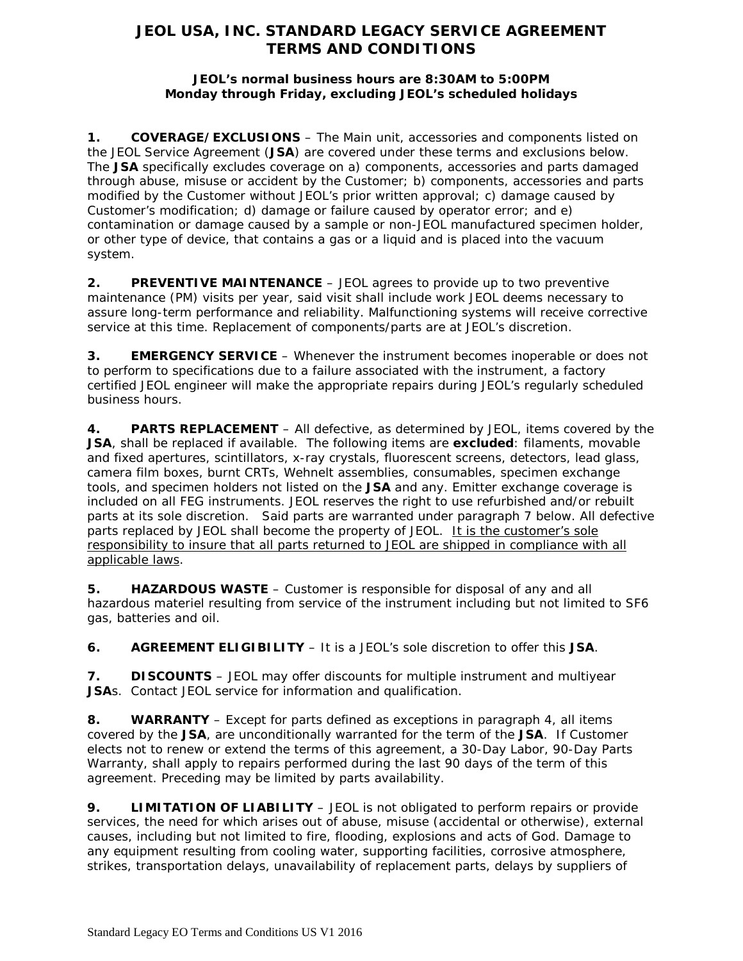# **JEOL USA, INC. STANDARD LEGACY SERVICE AGREEMENT TERMS AND CONDITIONS**

### **JEOL's normal business hours are 8:30AM to 5:00PM Monday through Friday, excluding JEOL's scheduled holidays**

**1. COVERAGE/EXCLUSIONS** – The Main unit, accessories and components listed on the JEOL Service Agreement (**JSA**) are covered under these terms and exclusions below. The **JSA** specifically excludes coverage on a) components, accessories and parts damaged through abuse, misuse or accident by the Customer; b) components, accessories and parts modified by the Customer without JEOL's prior written approval; c) damage caused by Customer's modification; d) damage or failure caused by operator error; and e) contamination or damage caused by a sample or non-JEOL manufactured specimen holder, or other type of device, that contains a gas or a liquid and is placed into the vacuum system.

**2. PREVENTIVE MAINTENANCE** – JEOL agrees to provide up to two preventive maintenance (PM) visits per year, said visit shall include work JEOL deems necessary to assure long-term performance and reliability. Malfunctioning systems will receive corrective service at this time. Replacement of components/parts are at JEOL's discretion.

**3. EMERGENCY SERVICE** – Whenever the instrument becomes inoperable or does not to perform to specifications due to a failure associated with the instrument, a factory certified JEOL engineer will make the appropriate repairs during JEOL's regularly scheduled business hours.

**4. PARTS REPLACEMENT** – All defective, as determined by JEOL, items covered by the **JSA**, shall be replaced if available. The following items are **excluded**: filaments, movable and fixed apertures, scintillators, x-ray crystals, fluorescent screens, detectors, lead glass, camera film boxes, burnt CRTs, Wehnelt assemblies, consumables, specimen exchange tools, and specimen holders not listed on the **JSA** and any. Emitter exchange coverage is included on all FEG instruments. JEOL reserves the right to use refurbished and/or rebuilt parts at its sole discretion. Said parts are warranted under paragraph 7 below. All defective parts replaced by JEOL shall become the property of JEOL. It is the customer's sole responsibility to insure that all parts returned to JEOL are shipped in compliance with all applicable laws.

**5. HAZARDOUS WASTE** – Customer is responsible for disposal of any and all hazardous materiel resulting from service of the instrument including but not limited to SF6 gas, batteries and oil.

**6. AGREEMENT ELIGIBILITY** – It is a JEOL's sole discretion to offer this **JSA**.

**7. DISCOUNTS** – JEOL may offer discounts for multiple instrument and multiyear **JSA**s. Contact JEOL service for information and qualification.

**8. WARRANTY** – Except for parts defined as exceptions in paragraph 4, all items covered by the **JSA**, are unconditionally warranted for the term of the **JSA**. If Customer elects not to renew or extend the terms of this agreement, a 30-Day Labor, 90-Day Parts Warranty, shall apply to repairs performed during the last 90 days of the term of this agreement. Preceding may be limited by parts availability.

**9. LIMITATION OF LIABILITY** – JEOL is not obligated to perform repairs or provide services, the need for which arises out of abuse, misuse (accidental or otherwise), external causes, including but not limited to fire, flooding, explosions and acts of God. Damage to any equipment resulting from cooling water, supporting facilities, corrosive atmosphere, strikes, transportation delays, unavailability of replacement parts, delays by suppliers of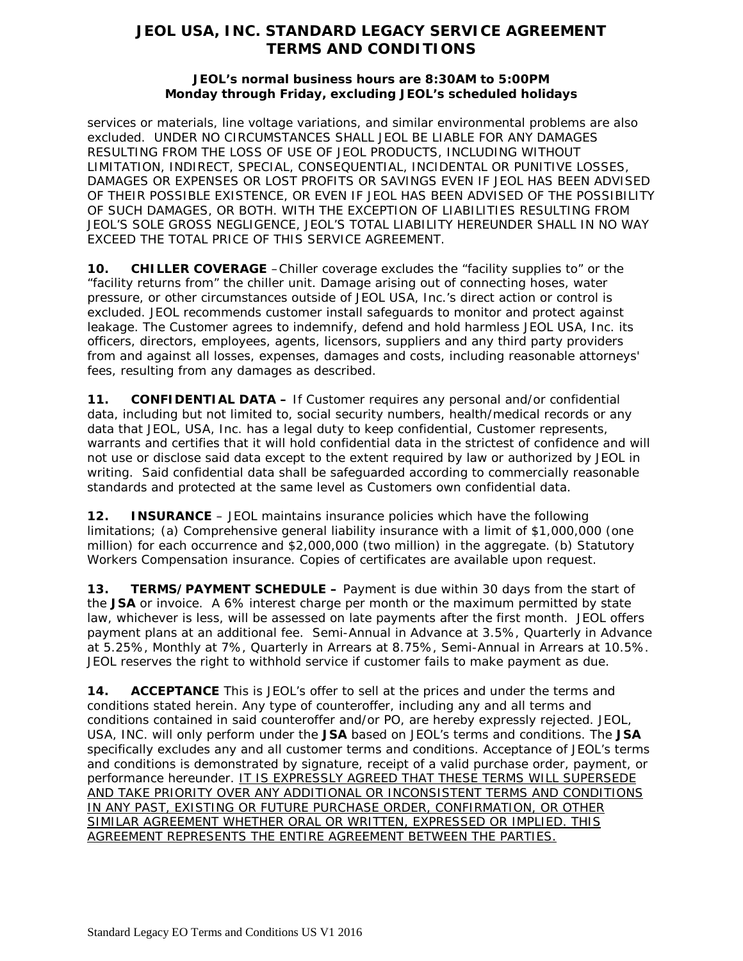# **JEOL USA, INC. STANDARD LEGACY SERVICE AGREEMENT TERMS AND CONDITIONS**

### **JEOL's normal business hours are 8:30AM to 5:00PM Monday through Friday, excluding JEOL's scheduled holidays**

services or materials, line voltage variations, and similar environmental problems are also excluded. UNDER NO CIRCUMSTANCES SHALL JEOL BE LIABLE FOR ANY DAMAGES RESULTING FROM THE LOSS OF USE OF JEOL PRODUCTS, INCLUDING WITHOUT LIMITATION, INDIRECT, SPECIAL, CONSEQUENTIAL, INCIDENTAL OR PUNITIVE LOSSES, DAMAGES OR EXPENSES OR LOST PROFITS OR SAVINGS EVEN IF JEOL HAS BEEN ADVISED OF THEIR POSSIBLE EXISTENCE, OR EVEN IF JEOL HAS BEEN ADVISED OF THE POSSIBILITY OF SUCH DAMAGES, OR BOTH. WITH THE EXCEPTION OF LIABILITIES RESULTING FROM JEOL'S SOLE GROSS NEGLIGENCE, JEOL'S TOTAL LIABILITY HEREUNDER SHALL IN NO WAY EXCEED THE TOTAL PRICE OF THIS SERVICE AGREEMENT.

**10. CHILLER COVERAGE** –Chiller coverage excludes the "facility supplies to" or the "facility returns from" the chiller unit. Damage arising out of connecting hoses, water pressure, or other circumstances outside of JEOL USA, Inc.'s direct action or control is excluded. JEOL recommends customer install safeguards to monitor and protect against leakage. The Customer agrees to indemnify, defend and hold harmless JEOL USA, Inc. its officers, directors, employees, agents, licensors, suppliers and any third party providers from and against all losses, expenses, damages and costs, including reasonable attorneys' fees, resulting from any damages as described.

**11. CONFIDENTIAL DATA –** If Customer requires any personal and/or confidential data, including but not limited to, social security numbers, health/medical records or any data that JEOL, USA, Inc. has a legal duty to keep confidential, Customer represents, warrants and certifies that it will hold confidential data in the strictest of confidence and will not use or disclose said data except to the extent required by law or authorized by JEOL in writing. Said confidential data shall be safeguarded according to commercially reasonable standards and protected at the same level as Customers own confidential data.

**12. INSURANCE** – JEOL maintains insurance policies which have the following limitations; (a) Comprehensive general liability insurance with a limit of \$1,000,000 (one million) for each occurrence and \$2,000,000 (two million) in the aggregate. (b) Statutory Workers Compensation insurance. Copies of certificates are available upon request.

**13. TERMS/PAYMENT SCHEDULE –** Payment is due within 30 days from the start of the **JSA** or invoice. A 6% interest charge per month or the maximum permitted by state law, whichever is less, will be assessed on late payments after the first month. JEOL offers payment plans at an additional fee. Semi-Annual in Advance at 3.5%, Quarterly in Advance at 5.25%, Monthly at 7%, Quarterly in Arrears at 8.75%, Semi-Annual in Arrears at 10.5%. JEOL reserves the right to withhold service if customer fails to make payment as due.

**14. ACCEPTANCE** This is JEOL's offer to sell at the prices and under the terms and conditions stated herein. Any type of counteroffer, including any and all terms and conditions contained in said counteroffer and/or PO, are hereby expressly rejected. JEOL, USA, INC. will only perform under the **JSA** based on JEOL's terms and conditions. The **JSA** specifically excludes any and all customer terms and conditions. Acceptance of JEOL's terms and conditions is demonstrated by signature, receipt of a valid purchase order, payment, or performance hereunder. IT IS EXPRESSLY AGREED THAT THESE TERMS WILL SUPERSEDE AND TAKE PRIORITY OVER ANY ADDITIONAL OR INCONSISTENT TERMS AND CONDITIONS IN ANY PAST, EXISTING OR FUTURE PURCHASE ORDER, CONFIRMATION, OR OTHER SIMILAR AGREEMENT WHETHER ORAL OR WRITTEN, EXPRESSED OR IMPLIED. THIS AGREEMENT REPRESENTS THE ENTIRE AGREEMENT BETWEEN THE PARTIES.